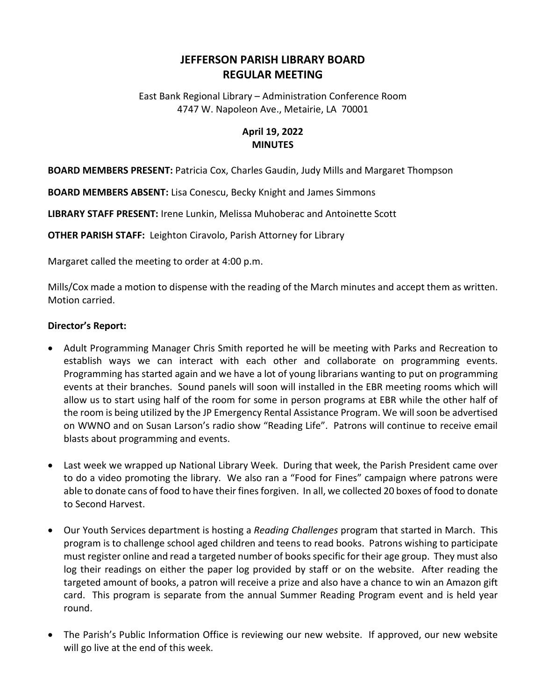## **JEFFERSON PARISH LIBRARY BOARD REGULAR MEETING**

East Bank Regional Library – Administration Conference Room 4747 W. Napoleon Ave., Metairie, LA 70001

## **April 19, 2022 MINUTES**

**BOARD MEMBERS PRESENT:** Patricia Cox, Charles Gaudin, Judy Mills and Margaret Thompson

**BOARD MEMBERS ABSENT:** Lisa Conescu, Becky Knight and James Simmons

**LIBRARY STAFF PRESENT:** Irene Lunkin, Melissa Muhoberac and Antoinette Scott

**OTHER PARISH STAFF:** Leighton Ciravolo, Parish Attorney for Library

Margaret called the meeting to order at 4:00 p.m.

Mills/Cox made a motion to dispense with the reading of the March minutes and accept them as written. Motion carried.

## **Director's Report:**

- Adult Programming Manager Chris Smith reported he will be meeting with Parks and Recreation to establish ways we can interact with each other and collaborate on programming events. Programming has started again and we have a lot of young librarians wanting to put on programming events at their branches. Sound panels will soon will installed in the EBR meeting rooms which will allow us to start using half of the room for some in person programs at EBR while the other half of the room is being utilized by the JP Emergency Rental Assistance Program. We will soon be advertised on WWNO and on Susan Larson's radio show "Reading Life". Patrons will continue to receive email blasts about programming and events.
- Last week we wrapped up National Library Week. During that week, the Parish President came over to do a video promoting the library. We also ran a "Food for Fines" campaign where patrons were able to donate cans of food to have their fines forgiven. In all, we collected 20 boxes of food to donate to Second Harvest.
- Our Youth Services department is hosting a *Reading Challenges* program that started in March. This program is to challenge school aged children and teens to read books. Patrons wishing to participate must register online and read a targeted number of books specific for their age group. They must also log their readings on either the paper log provided by staff or on the website. After reading the targeted amount of books, a patron will receive a prize and also have a chance to win an Amazon gift card. This program is separate from the annual Summer Reading Program event and is held year round.
- The Parish's Public Information Office is reviewing our new website. If approved, our new website will go live at the end of this week.